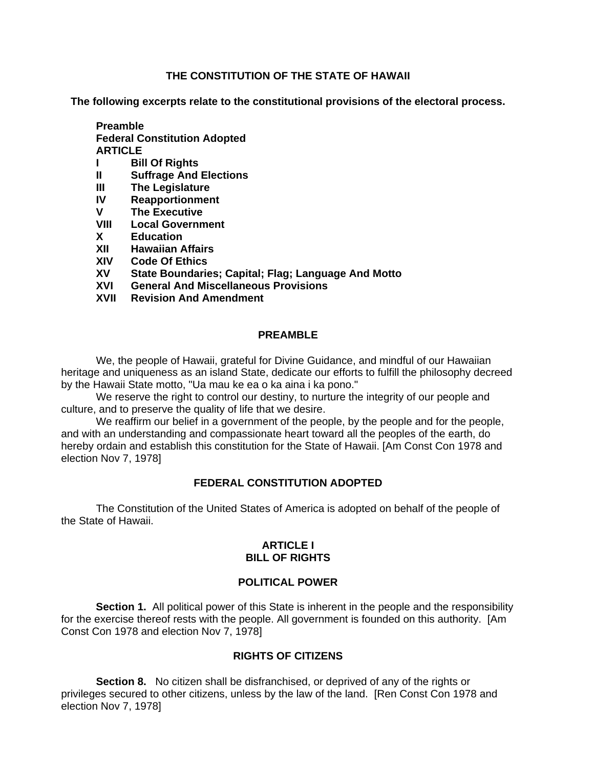## **THE CONSTITUTION OF THE STATE OF HAWAII**

**The following excerpts relate to the constitutional provisions of the electoral process.** 

**Preamble** 

**Federal Constitution Adopted** 

**ARTICLE** 

- **I Bill Of Rights**
- **II Suffrage And Elections**
- **III The Legislature**
- **IV Reapportionment**
- **V The Executive**
- **VIII Local Government**
- **X Education**
- **XII Hawaiian Affairs**
- **XIV Code Of Ethics**
- **XV State Boundaries; Capital; Flag; Language And Motto**
- **XVI General And Miscellaneous Provisions**
- **XVII Revision And Amendment**

# **PREAMBLE**

We, the people of Hawaii, grateful for Divine Guidance, and mindful of our Hawaiian heritage and uniqueness as an island State, dedicate our efforts to fulfill the philosophy decreed by the Hawaii State motto, "Ua mau ke ea o ka aina i ka pono."

We reserve the right to control our destiny, to nurture the integrity of our people and culture, and to preserve the quality of life that we desire.

We reaffirm our belief in a government of the people, by the people and for the people, and with an understanding and compassionate heart toward all the peoples of the earth, do hereby ordain and establish this constitution for the State of Hawaii. [Am Const Con 1978 and election Nov 7, 1978]

# **FEDERAL CONSTITUTION ADOPTED**

The Constitution of the United States of America is adopted on behalf of the people of the State of Hawaii.

## **ARTICLE I BILL OF RIGHTS**

# **POLITICAL POWER**

**Section 1.** All political power of this State is inherent in the people and the responsibility for the exercise thereof rests with the people. All government is founded on this authority. [Am Const Con 1978 and election Nov 7, 1978]

# **RIGHTS OF CITIZENS**

**Section 8.** No citizen shall be disfranchised, or deprived of any of the rights or privileges secured to other citizens, unless by the law of the land. [Ren Const Con 1978 and election Nov 7, 1978]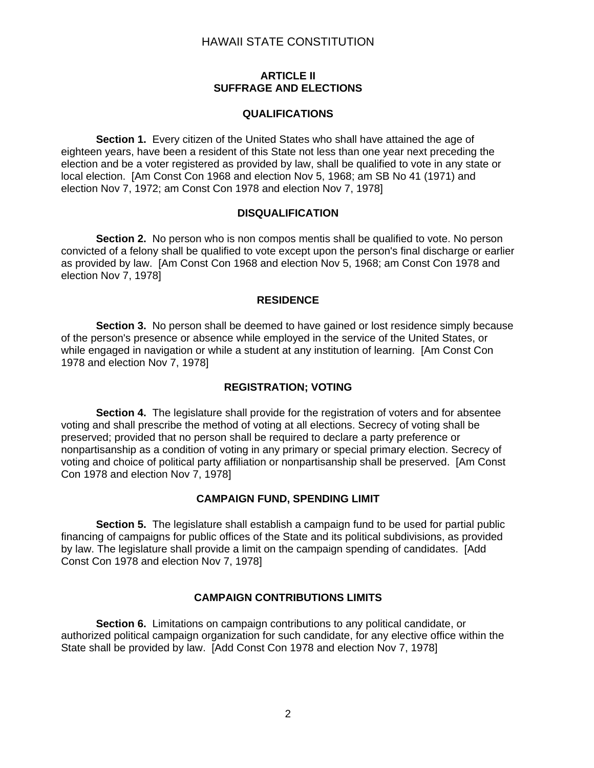### **ARTICLE II SUFFRAGE AND ELECTIONS**

### **QUALIFICATIONS**

**Section 1.** Every citizen of the United States who shall have attained the age of eighteen years, have been a resident of this State not less than one year next preceding the election and be a voter registered as provided by law, shall be qualified to vote in any state or local election. [Am Const Con 1968 and election Nov 5, 1968; am SB No 41 (1971) and election Nov 7, 1972; am Const Con 1978 and election Nov 7, 1978]

### **DISQUALIFICATION**

**Section 2.** No person who is non compos mentis shall be qualified to vote. No person convicted of a felony shall be qualified to vote except upon the person's final discharge or earlier as provided by law. [Am Const Con 1968 and election Nov 5, 1968; am Const Con 1978 and election Nov 7, 1978]

### **RESIDENCE**

**Section 3.** No person shall be deemed to have gained or lost residence simply because of the person's presence or absence while employed in the service of the United States, or while engaged in navigation or while a student at any institution of learning. [Am Const Con 1978 and election Nov 7, 1978]

# **REGISTRATION; VOTING**

**Section 4.** The legislature shall provide for the registration of voters and for absentee voting and shall prescribe the method of voting at all elections. Secrecy of voting shall be preserved; provided that no person shall be required to declare a party preference or nonpartisanship as a condition of voting in any primary or special primary election. Secrecy of voting and choice of political party affiliation or nonpartisanship shall be preserved. [Am Const Con 1978 and election Nov 7, 1978]

# **CAMPAIGN FUND, SPENDING LIMIT**

**Section 5.** The legislature shall establish a campaign fund to be used for partial public financing of campaigns for public offices of the State and its political subdivisions, as provided by law. The legislature shall provide a limit on the campaign spending of candidates. [Add Const Con 1978 and election Nov 7, 1978]

# **CAMPAIGN CONTRIBUTIONS LIMITS**

**Section 6.** Limitations on campaign contributions to any political candidate, or authorized political campaign organization for such candidate, for any elective office within the State shall be provided by law. [Add Const Con 1978 and election Nov 7, 1978]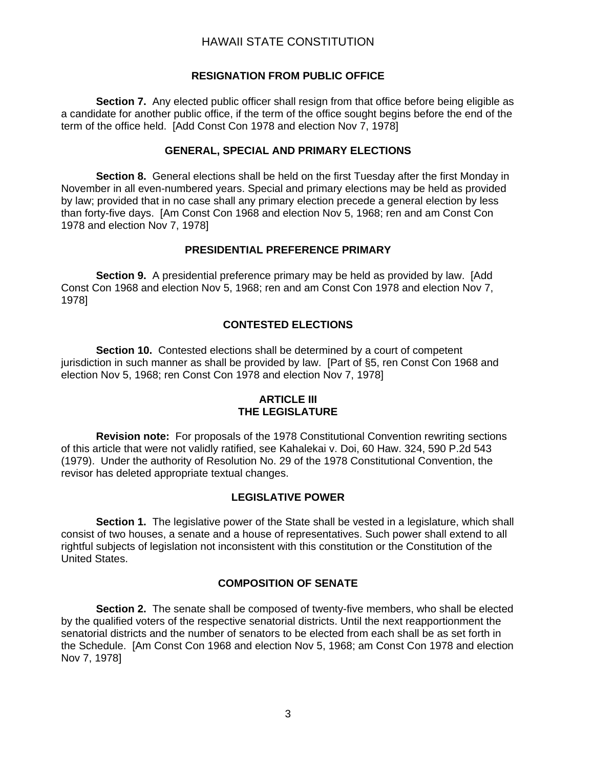### **RESIGNATION FROM PUBLIC OFFICE**

**Section 7.** Any elected public officer shall resign from that office before being eligible as a candidate for another public office, if the term of the office sought begins before the end of the term of the office held. [Add Const Con 1978 and election Nov 7, 1978]

### **GENERAL, SPECIAL AND PRIMARY ELECTIONS**

**Section 8.** General elections shall be held on the first Tuesday after the first Monday in November in all even-numbered years. Special and primary elections may be held as provided by law; provided that in no case shall any primary election precede a general election by less than forty-five days. [Am Const Con 1968 and election Nov 5, 1968; ren and am Const Con 1978 and election Nov 7, 1978]

## **PRESIDENTIAL PREFERENCE PRIMARY**

**Section 9.** A presidential preference primary may be held as provided by law. [Add Const Con 1968 and election Nov 5, 1968; ren and am Const Con 1978 and election Nov 7, 1978]

# **CONTESTED ELECTIONS**

**Section 10.** Contested elections shall be determined by a court of competent jurisdiction in such manner as shall be provided by law. [Part of §5, ren Const Con 1968 and election Nov 5, 1968; ren Const Con 1978 and election Nov 7, 1978]

## **ARTICLE III THE LEGISLATURE**

**Revision note:** For proposals of the 1978 Constitutional Convention rewriting sections of this article that were not validly ratified, see Kahalekai v. Doi, 60 Haw. 324, 590 P.2d 543 (1979). Under the authority of Resolution No. 29 of the 1978 Constitutional Convention, the revisor has deleted appropriate textual changes.

# **LEGISLATIVE POWER**

**Section 1.** The legislative power of the State shall be vested in a legislature, which shall consist of two houses, a senate and a house of representatives. Such power shall extend to all rightful subjects of legislation not inconsistent with this constitution or the Constitution of the United States.

# **COMPOSITION OF SENATE**

**Section 2.** The senate shall be composed of twenty-five members, who shall be elected by the qualified voters of the respective senatorial districts. Until the next reapportionment the senatorial districts and the number of senators to be elected from each shall be as set forth in the Schedule. [Am Const Con 1968 and election Nov 5, 1968; am Const Con 1978 and election Nov 7, 1978]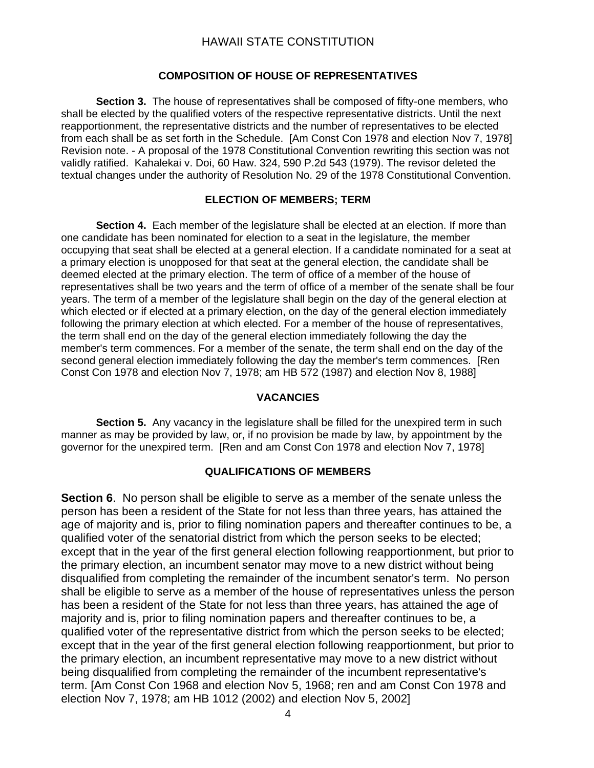## **COMPOSITION OF HOUSE OF REPRESENTATIVES**

**Section 3.** The house of representatives shall be composed of fifty-one members, who shall be elected by the qualified voters of the respective representative districts. Until the next reapportionment, the representative districts and the number of representatives to be elected from each shall be as set forth in the Schedule. [Am Const Con 1978 and election Nov 7, 1978] Revision note. - A proposal of the 1978 Constitutional Convention rewriting this section was not validly ratified. Kahalekai v. Doi, 60 Haw. 324, 590 P.2d 543 (1979). The revisor deleted the textual changes under the authority of Resolution No. 29 of the 1978 Constitutional Convention.

### **ELECTION OF MEMBERS; TERM**

**Section 4.** Each member of the legislature shall be elected at an election. If more than one candidate has been nominated for election to a seat in the legislature, the member occupying that seat shall be elected at a general election. If a candidate nominated for a seat at a primary election is unopposed for that seat at the general election, the candidate shall be deemed elected at the primary election. The term of office of a member of the house of representatives shall be two years and the term of office of a member of the senate shall be four years. The term of a member of the legislature shall begin on the day of the general election at which elected or if elected at a primary election, on the day of the general election immediately following the primary election at which elected. For a member of the house of representatives, the term shall end on the day of the general election immediately following the day the member's term commences. For a member of the senate, the term shall end on the day of the second general election immediately following the day the member's term commences. [Ren Const Con 1978 and election Nov 7, 1978; am HB 572 (1987) and election Nov 8, 1988]

#### **VACANCIES**

**Section 5.** Any vacancy in the legislature shall be filled for the unexpired term in such manner as may be provided by law, or, if no provision be made by law, by appointment by the governor for the unexpired term. [Ren and am Const Con 1978 and election Nov 7, 1978]

#### **QUALIFICATIONS OF MEMBERS**

**Section 6.** No person shall be eligible to serve as a member of the senate unless the person has been a resident of the State for not less than three years, has attained the age of majority and is, prior to filing nomination papers and thereafter continues to be, a qualified voter of the senatorial district from which the person seeks to be elected; except that in the year of the first general election following reapportionment, but prior to the primary election, an incumbent senator may move to a new district without being disqualified from completing the remainder of the incumbent senator's term. No person shall be eligible to serve as a member of the house of representatives unless the person has been a resident of the State for not less than three years, has attained the age of majority and is, prior to filing nomination papers and thereafter continues to be, a qualified voter of the representative district from which the person seeks to be elected; except that in the year of the first general election following reapportionment, but prior to the primary election, an incumbent representative may move to a new district without being disqualified from completing the remainder of the incumbent representative's term. [Am Const Con 1968 and election Nov 5, 1968; ren and am Const Con 1978 and election Nov 7, 1978; am HB 1012 (2002) and election Nov 5, 2002]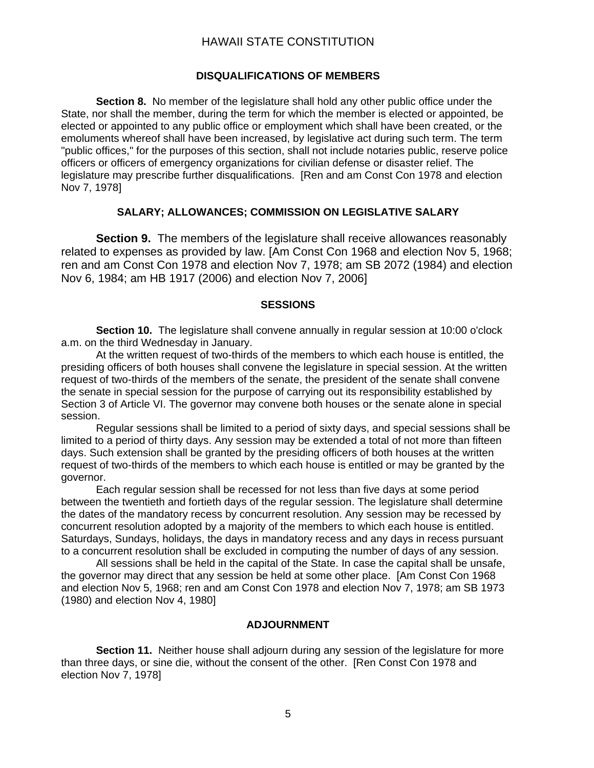#### **DISQUALIFICATIONS OF MEMBERS**

**Section 8.** No member of the legislature shall hold any other public office under the State, nor shall the member, during the term for which the member is elected or appointed, be elected or appointed to any public office or employment which shall have been created, or the emoluments whereof shall have been increased, by legislative act during such term. The term "public offices," for the purposes of this section, shall not include notaries public, reserve police officers or officers of emergency organizations for civilian defense or disaster relief. The legislature may prescribe further disqualifications. [Ren and am Const Con 1978 and election Nov 7, 1978]

### **SALARY; ALLOWANCES; COMMISSION ON LEGISLATIVE SALARY**

 **Section 9.** The members of the legislature shall receive allowances reasonably related to expenses as provided by law. [Am Const Con 1968 and election Nov 5, 1968; ren and am Const Con 1978 and election Nov 7, 1978; am SB 2072 (1984) and election Nov 6, 1984; am HB 1917 (2006) and election Nov 7, 2006]

#### **SESSIONS**

**Section 10.** The legislature shall convene annually in regular session at 10:00 o'clock a.m. on the third Wednesday in January.

At the written request of two-thirds of the members to which each house is entitled, the presiding officers of both houses shall convene the legislature in special session. At the written request of two-thirds of the members of the senate, the president of the senate shall convene the senate in special session for the purpose of carrying out its responsibility established by Section 3 of Article VI. The governor may convene both houses or the senate alone in special session.

Regular sessions shall be limited to a period of sixty days, and special sessions shall be limited to a period of thirty days. Any session may be extended a total of not more than fifteen days. Such extension shall be granted by the presiding officers of both houses at the written request of two-thirds of the members to which each house is entitled or may be granted by the governor.

Each regular session shall be recessed for not less than five days at some period between the twentieth and fortieth days of the regular session. The legislature shall determine the dates of the mandatory recess by concurrent resolution. Any session may be recessed by concurrent resolution adopted by a majority of the members to which each house is entitled. Saturdays, Sundays, holidays, the days in mandatory recess and any days in recess pursuant to a concurrent resolution shall be excluded in computing the number of days of any session.

All sessions shall be held in the capital of the State. In case the capital shall be unsafe, the governor may direct that any session be held at some other place. [Am Const Con 1968 and election Nov 5, 1968; ren and am Const Con 1978 and election Nov 7, 1978; am SB 1973 (1980) and election Nov 4, 1980]

### **ADJOURNMENT**

**Section 11.** Neither house shall adjourn during any session of the legislature for more than three days, or sine die, without the consent of the other. [Ren Const Con 1978 and election Nov 7, 1978]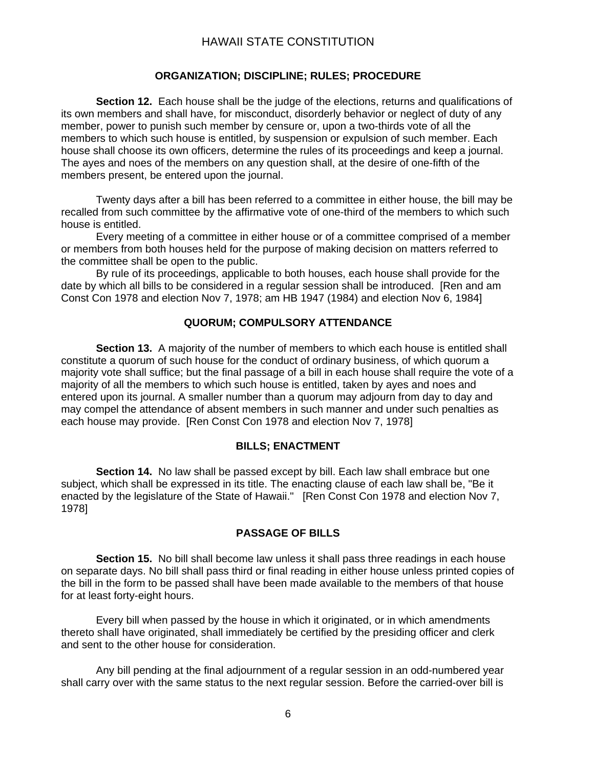### **ORGANIZATION; DISCIPLINE; RULES; PROCEDURE**

**Section 12.** Each house shall be the judge of the elections, returns and qualifications of its own members and shall have, for misconduct, disorderly behavior or neglect of duty of any member, power to punish such member by censure or, upon a two-thirds vote of all the members to which such house is entitled, by suspension or expulsion of such member. Each house shall choose its own officers, determine the rules of its proceedings and keep a journal. The ayes and noes of the members on any question shall, at the desire of one-fifth of the members present, be entered upon the journal.

Twenty days after a bill has been referred to a committee in either house, the bill may be recalled from such committee by the affirmative vote of one-third of the members to which such house is entitled.

Every meeting of a committee in either house or of a committee comprised of a member or members from both houses held for the purpose of making decision on matters referred to the committee shall be open to the public.

By rule of its proceedings, applicable to both houses, each house shall provide for the date by which all bills to be considered in a regular session shall be introduced. [Ren and am Const Con 1978 and election Nov 7, 1978; am HB 1947 (1984) and election Nov 6, 1984]

## **QUORUM; COMPULSORY ATTENDANCE**

**Section 13.** A majority of the number of members to which each house is entitled shall constitute a quorum of such house for the conduct of ordinary business, of which quorum a majority vote shall suffice; but the final passage of a bill in each house shall require the vote of a majority of all the members to which such house is entitled, taken by ayes and noes and entered upon its journal. A smaller number than a quorum may adjourn from day to day and may compel the attendance of absent members in such manner and under such penalties as each house may provide. [Ren Const Con 1978 and election Nov 7, 1978]

### **BILLS; ENACTMENT**

**Section 14.** No law shall be passed except by bill. Each law shall embrace but one subject, which shall be expressed in its title. The enacting clause of each law shall be, "Be it enacted by the legislature of the State of Hawaii." [Ren Const Con 1978 and election Nov 7, 1978]

# **PASSAGE OF BILLS**

**Section 15.** No bill shall become law unless it shall pass three readings in each house on separate days. No bill shall pass third or final reading in either house unless printed copies of the bill in the form to be passed shall have been made available to the members of that house for at least forty-eight hours.

Every bill when passed by the house in which it originated, or in which amendments thereto shall have originated, shall immediately be certified by the presiding officer and clerk and sent to the other house for consideration.

Any bill pending at the final adjournment of a regular session in an odd-numbered year shall carry over with the same status to the next regular session. Before the carried-over bill is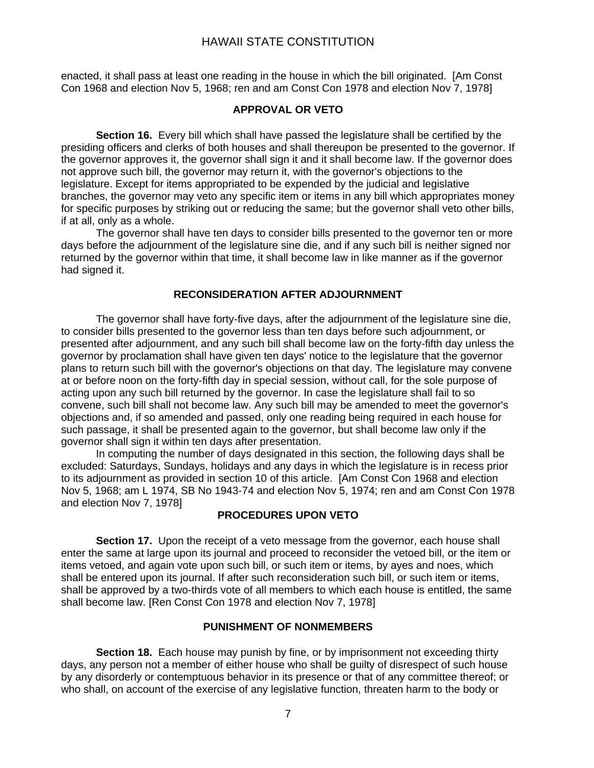enacted, it shall pass at least one reading in the house in which the bill originated. [Am Const Con 1968 and election Nov 5, 1968; ren and am Const Con 1978 and election Nov 7, 1978]

### **APPROVAL OR VETO**

**Section 16.** Every bill which shall have passed the legislature shall be certified by the presiding officers and clerks of both houses and shall thereupon be presented to the governor. If the governor approves it, the governor shall sign it and it shall become law. If the governor does not approve such bill, the governor may return it, with the governor's objections to the legislature. Except for items appropriated to be expended by the judicial and legislative branches, the governor may veto any specific item or items in any bill which appropriates money for specific purposes by striking out or reducing the same; but the governor shall veto other bills, if at all, only as a whole.

The governor shall have ten days to consider bills presented to the governor ten or more days before the adjournment of the legislature sine die, and if any such bill is neither signed nor returned by the governor within that time, it shall become law in like manner as if the governor had signed it.

## **RECONSIDERATION AFTER ADJOURNMENT**

The governor shall have forty-five days, after the adjournment of the legislature sine die, to consider bills presented to the governor less than ten days before such adjournment, or presented after adjournment, and any such bill shall become law on the forty-fifth day unless the governor by proclamation shall have given ten days' notice to the legislature that the governor plans to return such bill with the governor's objections on that day. The legislature may convene at or before noon on the forty-fifth day in special session, without call, for the sole purpose of acting upon any such bill returned by the governor. In case the legislature shall fail to so convene, such bill shall not become law. Any such bill may be amended to meet the governor's objections and, if so amended and passed, only one reading being required in each house for such passage, it shall be presented again to the governor, but shall become law only if the governor shall sign it within ten days after presentation.

In computing the number of days designated in this section, the following days shall be excluded: Saturdays, Sundays, holidays and any days in which the legislature is in recess prior to its adjournment as provided in section 10 of this article. [Am Const Con 1968 and election Nov 5, 1968; am L 1974, SB No 1943-74 and election Nov 5, 1974; ren and am Const Con 1978 and election Nov 7, 1978]

### **PROCEDURES UPON VETO**

**Section 17.** Upon the receipt of a veto message from the governor, each house shall enter the same at large upon its journal and proceed to reconsider the vetoed bill, or the item or items vetoed, and again vote upon such bill, or such item or items, by ayes and noes, which shall be entered upon its journal. If after such reconsideration such bill, or such item or items, shall be approved by a two-thirds vote of all members to which each house is entitled, the same shall become law. [Ren Const Con 1978 and election Nov 7, 1978]

### **PUNISHMENT OF NONMEMBERS**

**Section 18.** Each house may punish by fine, or by imprisonment not exceeding thirty days, any person not a member of either house who shall be guilty of disrespect of such house by any disorderly or contemptuous behavior in its presence or that of any committee thereof; or who shall, on account of the exercise of any legislative function, threaten harm to the body or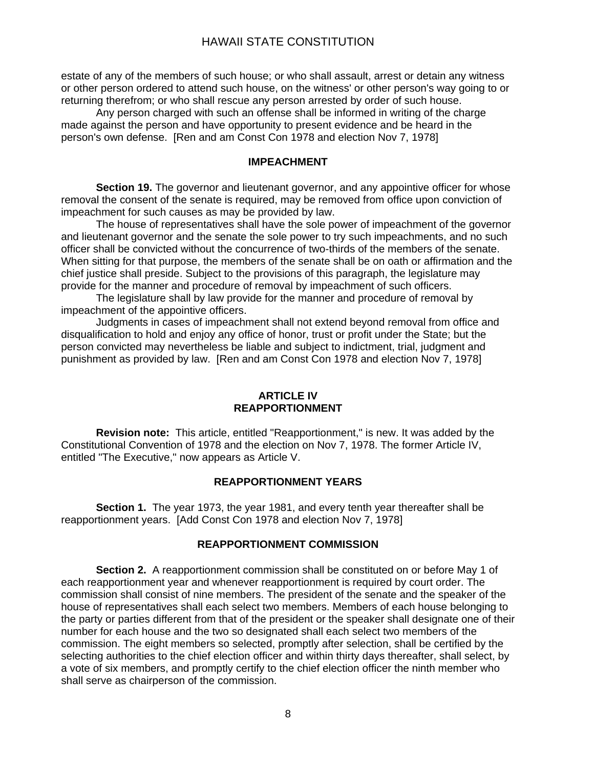estate of any of the members of such house; or who shall assault, arrest or detain any witness or other person ordered to attend such house, on the witness' or other person's way going to or returning therefrom; or who shall rescue any person arrested by order of such house.

Any person charged with such an offense shall be informed in writing of the charge made against the person and have opportunity to present evidence and be heard in the person's own defense. [Ren and am Const Con 1978 and election Nov 7, 1978]

#### **IMPEACHMENT**

**Section 19.** The governor and lieutenant governor, and any appointive officer for whose removal the consent of the senate is required, may be removed from office upon conviction of impeachment for such causes as may be provided by law.

The house of representatives shall have the sole power of impeachment of the governor and lieutenant governor and the senate the sole power to try such impeachments, and no such officer shall be convicted without the concurrence of two-thirds of the members of the senate. When sitting for that purpose, the members of the senate shall be on oath or affirmation and the chief justice shall preside. Subject to the provisions of this paragraph, the legislature may provide for the manner and procedure of removal by impeachment of such officers.

The legislature shall by law provide for the manner and procedure of removal by impeachment of the appointive officers.

Judgments in cases of impeachment shall not extend beyond removal from office and disqualification to hold and enjoy any office of honor, trust or profit under the State; but the person convicted may nevertheless be liable and subject to indictment, trial, judgment and punishment as provided by law. [Ren and am Const Con 1978 and election Nov 7, 1978]

### **ARTICLE IV REAPPORTIONMENT**

**Revision note:** This article, entitled "Reapportionment," is new. It was added by the Constitutional Convention of 1978 and the election on Nov 7, 1978. The former Article IV, entitled "The Executive," now appears as Article V.

#### **REAPPORTIONMENT YEARS**

**Section 1.** The year 1973, the year 1981, and every tenth year thereafter shall be reapportionment years. [Add Const Con 1978 and election Nov 7, 1978]

### **REAPPORTIONMENT COMMISSION**

**Section 2.** A reapportionment commission shall be constituted on or before May 1 of each reapportionment year and whenever reapportionment is required by court order. The commission shall consist of nine members. The president of the senate and the speaker of the house of representatives shall each select two members. Members of each house belonging to the party or parties different from that of the president or the speaker shall designate one of their number for each house and the two so designated shall each select two members of the commission. The eight members so selected, promptly after selection, shall be certified by the selecting authorities to the chief election officer and within thirty days thereafter, shall select, by a vote of six members, and promptly certify to the chief election officer the ninth member who shall serve as chairperson of the commission.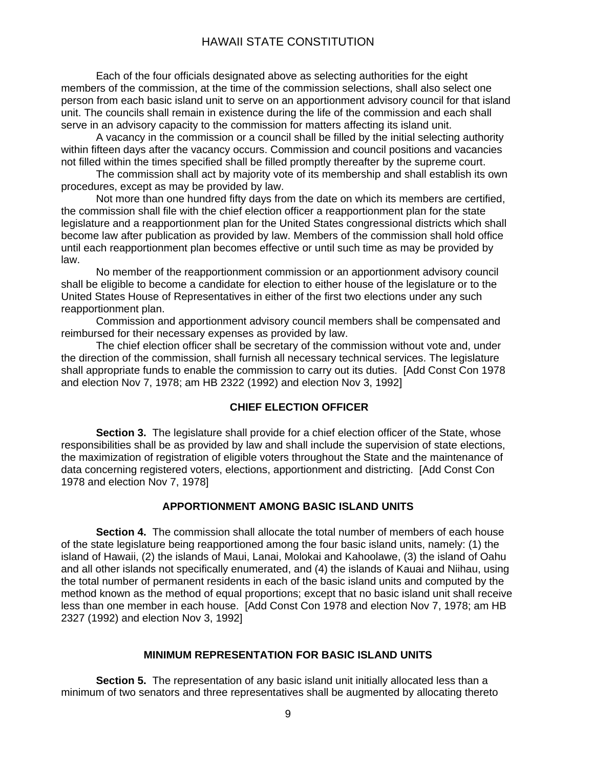Each of the four officials designated above as selecting authorities for the eight members of the commission, at the time of the commission selections, shall also select one person from each basic island unit to serve on an apportionment advisory council for that island unit. The councils shall remain in existence during the life of the commission and each shall serve in an advisory capacity to the commission for matters affecting its island unit.

A vacancy in the commission or a council shall be filled by the initial selecting authority within fifteen days after the vacancy occurs. Commission and council positions and vacancies not filled within the times specified shall be filled promptly thereafter by the supreme court.

The commission shall act by majority vote of its membership and shall establish its own procedures, except as may be provided by law.

Not more than one hundred fifty days from the date on which its members are certified, the commission shall file with the chief election officer a reapportionment plan for the state legislature and a reapportionment plan for the United States congressional districts which shall become law after publication as provided by law. Members of the commission shall hold office until each reapportionment plan becomes effective or until such time as may be provided by law.

No member of the reapportionment commission or an apportionment advisory council shall be eligible to become a candidate for election to either house of the legislature or to the United States House of Representatives in either of the first two elections under any such reapportionment plan.

Commission and apportionment advisory council members shall be compensated and reimbursed for their necessary expenses as provided by law.

The chief election officer shall be secretary of the commission without vote and, under the direction of the commission, shall furnish all necessary technical services. The legislature shall appropriate funds to enable the commission to carry out its duties. [Add Const Con 1978 and election Nov 7, 1978; am HB 2322 (1992) and election Nov 3, 1992]

### **CHIEF ELECTION OFFICER**

**Section 3.** The legislature shall provide for a chief election officer of the State, whose responsibilities shall be as provided by law and shall include the supervision of state elections, the maximization of registration of eligible voters throughout the State and the maintenance of data concerning registered voters, elections, apportionment and districting. [Add Const Con 1978 and election Nov 7, 1978]

### **APPORTIONMENT AMONG BASIC ISLAND UNITS**

**Section 4.** The commission shall allocate the total number of members of each house of the state legislature being reapportioned among the four basic island units, namely: (1) the island of Hawaii, (2) the islands of Maui, Lanai, Molokai and Kahoolawe, (3) the island of Oahu and all other islands not specifically enumerated, and (4) the islands of Kauai and Niihau, using the total number of permanent residents in each of the basic island units and computed by the method known as the method of equal proportions; except that no basic island unit shall receive less than one member in each house. [Add Const Con 1978 and election Nov 7, 1978; am HB 2327 (1992) and election Nov 3, 1992]

#### **MINIMUM REPRESENTATION FOR BASIC ISLAND UNITS**

**Section 5.** The representation of any basic island unit initially allocated less than a minimum of two senators and three representatives shall be augmented by allocating thereto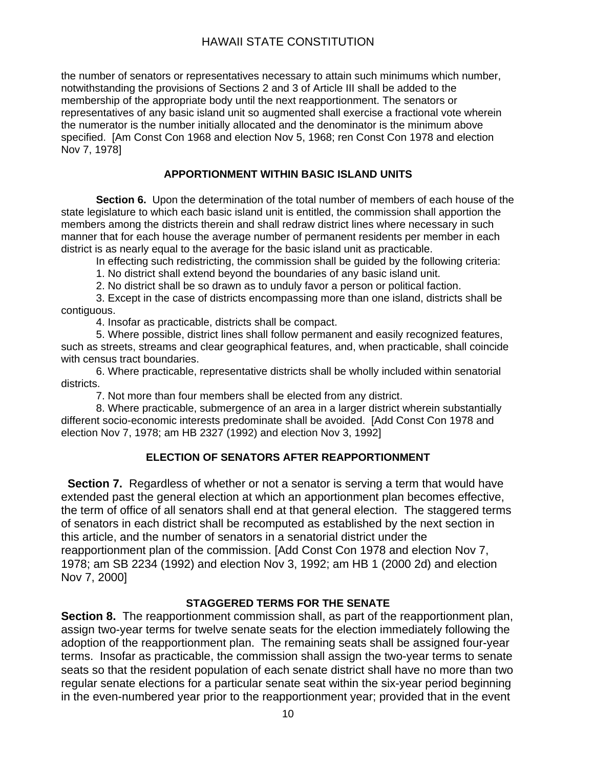the number of senators or representatives necessary to attain such minimums which number, notwithstanding the provisions of Sections 2 and 3 of Article III shall be added to the membership of the appropriate body until the next reapportionment. The senators or representatives of any basic island unit so augmented shall exercise a fractional vote wherein the numerator is the number initially allocated and the denominator is the minimum above specified. [Am Const Con 1968 and election Nov 5, 1968; ren Const Con 1978 and election Nov 7, 1978]

# **APPORTIONMENT WITHIN BASIC ISLAND UNITS**

**Section 6.** Upon the determination of the total number of members of each house of the state legislature to which each basic island unit is entitled, the commission shall apportion the members among the districts therein and shall redraw district lines where necessary in such manner that for each house the average number of permanent residents per member in each district is as nearly equal to the average for the basic island unit as practicable.

In effecting such redistricting, the commission shall be guided by the following criteria:

1. No district shall extend beyond the boundaries of any basic island unit.

2. No district shall be so drawn as to unduly favor a person or political faction.

3. Except in the case of districts encompassing more than one island, districts shall be contiguous.

4. Insofar as practicable, districts shall be compact.

5. Where possible, district lines shall follow permanent and easily recognized features, such as streets, streams and clear geographical features, and, when practicable, shall coincide with census tract boundaries.

6. Where practicable, representative districts shall be wholly included within senatorial districts.

7. Not more than four members shall be elected from any district.

8. Where practicable, submergence of an area in a larger district wherein substantially different socio-economic interests predominate shall be avoided. [Add Const Con 1978 and election Nov 7, 1978; am HB 2327 (1992) and election Nov 3, 1992]

# **ELECTION OF SENATORS AFTER REAPPORTIONMENT**

 **Section 7.** Regardless of whether or not a senator is serving a term that would have extended past the general election at which an apportionment plan becomes effective, the term of office of all senators shall end at that general election. The staggered terms of senators in each district shall be recomputed as established by the next section in this article, and the number of senators in a senatorial district under the reapportionment plan of the commission. [Add Const Con 1978 and election Nov 7, 1978; am SB 2234 (1992) and election Nov 3, 1992; am HB 1 (2000 2d) and election Nov 7, 2000]

# **STAGGERED TERMS FOR THE SENATE**

**Section 8.** The reapportionment commission shall, as part of the reapportionment plan, assign two-year terms for twelve senate seats for the election immediately following the adoption of the reapportionment plan. The remaining seats shall be assigned four-year terms. Insofar as practicable, the commission shall assign the two-year terms to senate seats so that the resident population of each senate district shall have no more than two regular senate elections for a particular senate seat within the six-year period beginning in the even-numbered year prior to the reapportionment year; provided that in the event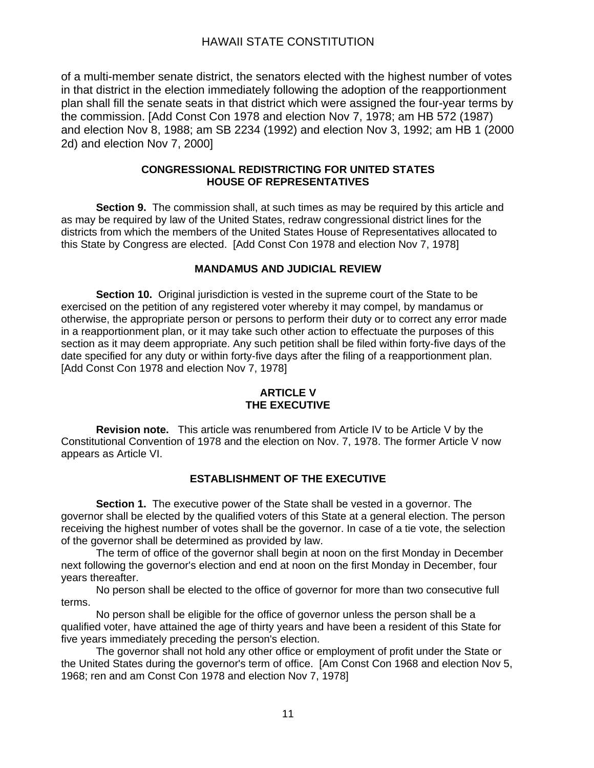of a multi-member senate district, the senators elected with the highest number of votes in that district in the election immediately following the adoption of the reapportionment plan shall fill the senate seats in that district which were assigned the four-year terms by the commission. [Add Const Con 1978 and election Nov 7, 1978; am HB 572 (1987) and election Nov 8, 1988; am SB 2234 (1992) and election Nov 3, 1992; am HB 1 (2000 2d) and election Nov 7, 2000]

## **CONGRESSIONAL REDISTRICTING FOR UNITED STATES HOUSE OF REPRESENTATIVES**

**Section 9.** The commission shall, at such times as may be required by this article and as may be required by law of the United States, redraw congressional district lines for the districts from which the members of the United States House of Representatives allocated to this State by Congress are elected. [Add Const Con 1978 and election Nov 7, 1978]

# **MANDAMUS AND JUDICIAL REVIEW**

**Section 10.** Original jurisdiction is vested in the supreme court of the State to be exercised on the petition of any registered voter whereby it may compel, by mandamus or otherwise, the appropriate person or persons to perform their duty or to correct any error made in a reapportionment plan, or it may take such other action to effectuate the purposes of this section as it may deem appropriate. Any such petition shall be filed within forty-five days of the date specified for any duty or within forty-five days after the filing of a reapportionment plan. [Add Const Con 1978 and election Nov 7, 1978]

# **ARTICLE V THE EXECUTIVE**

**Revision note.** This article was renumbered from Article IV to be Article V by the Constitutional Convention of 1978 and the election on Nov. 7, 1978. The former Article V now appears as Article VI.

# **ESTABLISHMENT OF THE EXECUTIVE**

**Section 1.** The executive power of the State shall be vested in a governor. The governor shall be elected by the qualified voters of this State at a general election. The person receiving the highest number of votes shall be the governor. In case of a tie vote, the selection of the governor shall be determined as provided by law.

The term of office of the governor shall begin at noon on the first Monday in December next following the governor's election and end at noon on the first Monday in December, four years thereafter.

No person shall be elected to the office of governor for more than two consecutive full terms.

No person shall be eligible for the office of governor unless the person shall be a qualified voter, have attained the age of thirty years and have been a resident of this State for five years immediately preceding the person's election.

The governor shall not hold any other office or employment of profit under the State or the United States during the governor's term of office. [Am Const Con 1968 and election Nov 5, 1968; ren and am Const Con 1978 and election Nov 7, 1978]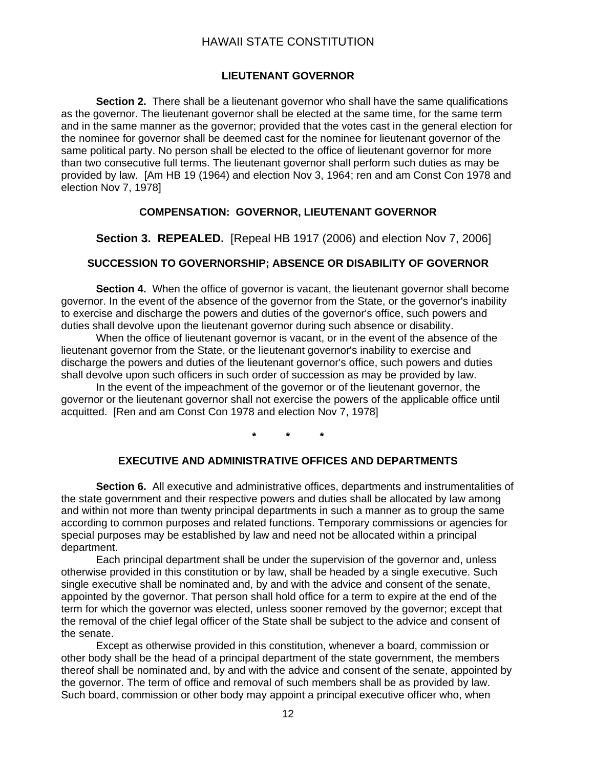## **LIEUTENANT GOVERNOR**

**Section 2.** There shall be a lieutenant governor who shall have the same qualifications as the governor. The lieutenant governor shall be elected at the same time, for the same term and in the same manner as the governor; provided that the votes cast in the general election for the nominee for governor shall be deemed cast for the nominee for lieutenant governor of the same political party. No person shall be elected to the office of lieutenant governor for more than two consecutive full terms. The lieutenant governor shall perform such duties as may be provided by law. [Am HB 19 (1964) and election Nov 3, 1964; ren and am Const Con 1978 and election Nov 7, 1978]

### **COMPENSATION: GOVERNOR, LIEUTENANT GOVERNOR**

 **Section 3. REPEALED.** [Repeal HB 1917 (2006) and election Nov 7, 2006]

#### **SUCCESSION TO GOVERNORSHIP; ABSENCE OR DISABILITY OF GOVERNOR**

**Section 4.** When the office of governor is vacant, the lieutenant governor shall become governor. In the event of the absence of the governor from the State, or the governor's inability to exercise and discharge the powers and duties of the governor's office, such powers and duties shall devolve upon the lieutenant governor during such absence or disability.

When the office of lieutenant governor is vacant, or in the event of the absence of the lieutenant governor from the State, or the lieutenant governor's inability to exercise and discharge the powers and duties of the lieutenant governor's office, such powers and duties shall devolve upon such officers in such order of succession as may be provided by law.

In the event of the impeachment of the governor or of the lieutenant governor, the governor or the lieutenant governor shall not exercise the powers of the applicable office until acquitted. [Ren and am Const Con 1978 and election Nov 7, 1978]

**\* \* \*** 

### **EXECUTIVE AND ADMINISTRATIVE OFFICES AND DEPARTMENTS**

**Section 6.** All executive and administrative offices, departments and instrumentalities of the state government and their respective powers and duties shall be allocated by law among and within not more than twenty principal departments in such a manner as to group the same according to common purposes and related functions. Temporary commissions or agencies for special purposes may be established by law and need not be allocated within a principal department.

Each principal department shall be under the supervision of the governor and, unless otherwise provided in this constitution or by law, shall be headed by a single executive. Such single executive shall be nominated and, by and with the advice and consent of the senate, appointed by the governor. That person shall hold office for a term to expire at the end of the term for which the governor was elected, unless sooner removed by the governor; except that the removal of the chief legal officer of the State shall be subject to the advice and consent of the senate.

Except as otherwise provided in this constitution, whenever a board, commission or other body shall be the head of a principal department of the state government, the members thereof shall be nominated and, by and with the advice and consent of the senate, appointed by the governor. The term of office and removal of such members shall be as provided by law. Such board, commission or other body may appoint a principal executive officer who, when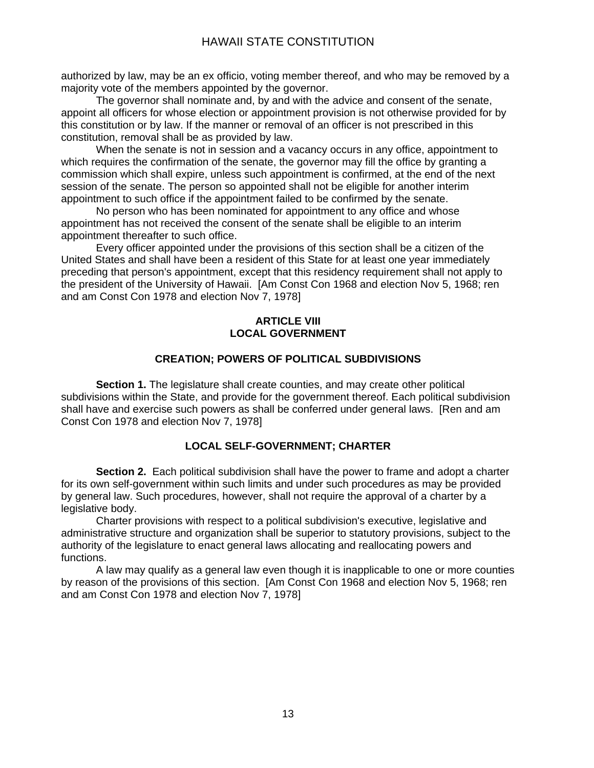authorized by law, may be an ex officio, voting member thereof, and who may be removed by a majority vote of the members appointed by the governor.

The governor shall nominate and, by and with the advice and consent of the senate, appoint all officers for whose election or appointment provision is not otherwise provided for by this constitution or by law. If the manner or removal of an officer is not prescribed in this constitution, removal shall be as provided by law.

When the senate is not in session and a vacancy occurs in any office, appointment to which requires the confirmation of the senate, the governor may fill the office by granting a commission which shall expire, unless such appointment is confirmed, at the end of the next session of the senate. The person so appointed shall not be eligible for another interim appointment to such office if the appointment failed to be confirmed by the senate.

No person who has been nominated for appointment to any office and whose appointment has not received the consent of the senate shall be eligible to an interim appointment thereafter to such office.

Every officer appointed under the provisions of this section shall be a citizen of the United States and shall have been a resident of this State for at least one year immediately preceding that person's appointment, except that this residency requirement shall not apply to the president of the University of Hawaii. [Am Const Con 1968 and election Nov 5, 1968; ren and am Const Con 1978 and election Nov 7, 1978]

# **ARTICLE VIII LOCAL GOVERNMENT**

# **CREATION; POWERS OF POLITICAL SUBDIVISIONS**

**Section 1.** The legislature shall create counties, and may create other political subdivisions within the State, and provide for the government thereof. Each political subdivision shall have and exercise such powers as shall be conferred under general laws. [Ren and am Const Con 1978 and election Nov 7, 1978]

# **LOCAL SELF-GOVERNMENT; CHARTER**

 **Section 2.** Each political subdivision shall have the power to frame and adopt a charter for its own self-government within such limits and under such procedures as may be provided by general law. Such procedures, however, shall not require the approval of a charter by a legislative body.

Charter provisions with respect to a political subdivision's executive, legislative and administrative structure and organization shall be superior to statutory provisions, subject to the authority of the legislature to enact general laws allocating and reallocating powers and functions.

A law may qualify as a general law even though it is inapplicable to one or more counties by reason of the provisions of this section. [Am Const Con 1968 and election Nov 5, 1968; ren and am Const Con 1978 and election Nov 7, 1978]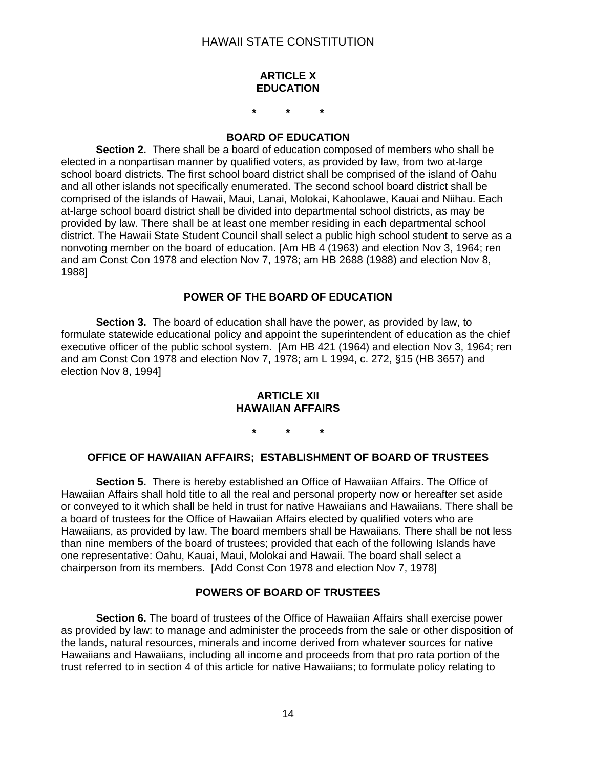### **ARTICLE X EDUCATION**

**\* \* \*** 

### **BOARD OF EDUCATION**

**Section 2.** There shall be a board of education composed of members who shall be elected in a nonpartisan manner by qualified voters, as provided by law, from two at-large school board districts. The first school board district shall be comprised of the island of Oahu and all other islands not specifically enumerated. The second school board district shall be comprised of the islands of Hawaii, Maui, Lanai, Molokai, Kahoolawe, Kauai and Niihau. Each at-large school board district shall be divided into departmental school districts, as may be provided by law. There shall be at least one member residing in each departmental school district. The Hawaii State Student Council shall select a public high school student to serve as a nonvoting member on the board of education. [Am HB 4 (1963) and election Nov 3, 1964; ren and am Const Con 1978 and election Nov 7, 1978; am HB 2688 (1988) and election Nov 8, 1988]

## **POWER OF THE BOARD OF EDUCATION**

**Section 3.** The board of education shall have the power, as provided by law, to formulate statewide educational policy and appoint the superintendent of education as the chief executive officer of the public school system. [Am HB 421 (1964) and election Nov 3, 1964; ren and am Const Con 1978 and election Nov 7, 1978; am L 1994, c. 272, §15 (HB 3657) and election Nov 8, 1994]

### **ARTICLE XII HAWAIIAN AFFAIRS**

**\* \* \*** 

### **OFFICE OF HAWAIIAN AFFAIRS; ESTABLISHMENT OF BOARD OF TRUSTEES**

**Section 5.** There is hereby established an Office of Hawaiian Affairs. The Office of Hawaiian Affairs shall hold title to all the real and personal property now or hereafter set aside or conveyed to it which shall be held in trust for native Hawaiians and Hawaiians. There shall be a board of trustees for the Office of Hawaiian Affairs elected by qualified voters who are Hawaiians, as provided by law. The board members shall be Hawaiians. There shall be not less than nine members of the board of trustees; provided that each of the following Islands have one representative: Oahu, Kauai, Maui, Molokai and Hawaii. The board shall select a chairperson from its members. [Add Const Con 1978 and election Nov 7, 1978]

### **POWERS OF BOARD OF TRUSTEES**

**Section 6.** The board of trustees of the Office of Hawaiian Affairs shall exercise power as provided by law: to manage and administer the proceeds from the sale or other disposition of the lands, natural resources, minerals and income derived from whatever sources for native Hawaiians and Hawaiians, including all income and proceeds from that pro rata portion of the trust referred to in section 4 of this article for native Hawaiians; to formulate policy relating to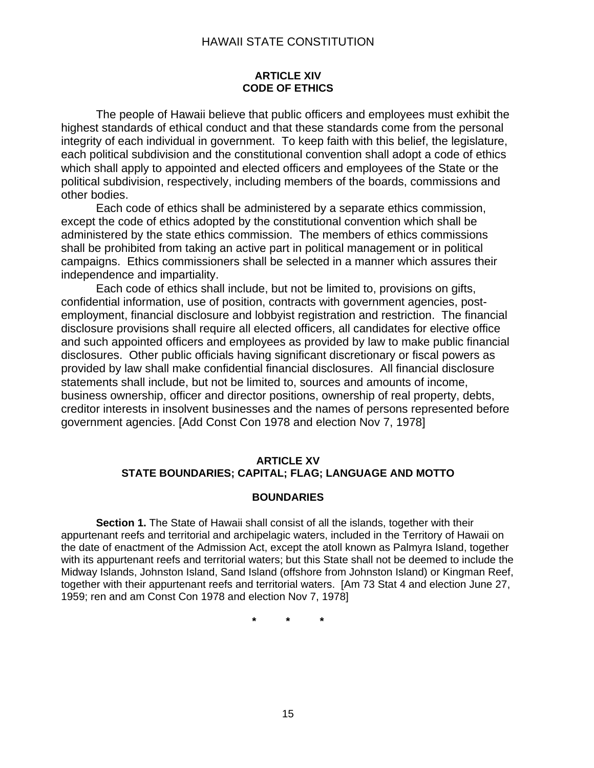### **ARTICLE XIV CODE OF ETHICS**

The people of Hawaii believe that public officers and employees must exhibit the highest standards of ethical conduct and that these standards come from the personal integrity of each individual in government. To keep faith with this belief, the legislature, each political subdivision and the constitutional convention shall adopt a code of ethics which shall apply to appointed and elected officers and employees of the State or the political subdivision, respectively, including members of the boards, commissions and other bodies.

 Each code of ethics shall be administered by a separate ethics commission, except the code of ethics adopted by the constitutional convention which shall be administered by the state ethics commission. The members of ethics commissions shall be prohibited from taking an active part in political management or in political campaigns. Ethics commissioners shall be selected in a manner which assures their independence and impartiality.

 Each code of ethics shall include, but not be limited to, provisions on gifts, confidential information, use of position, contracts with government agencies, postemployment, financial disclosure and lobbyist registration and restriction. The financial disclosure provisions shall require all elected officers, all candidates for elective office and such appointed officers and employees as provided by law to make public financial disclosures. Other public officials having significant discretionary or fiscal powers as provided by law shall make confidential financial disclosures. All financial disclosure statements shall include, but not be limited to, sources and amounts of income, business ownership, officer and director positions, ownership of real property, debts, creditor interests in insolvent businesses and the names of persons represented before government agencies. [Add Const Con 1978 and election Nov 7, 1978]

# **ARTICLE XV STATE BOUNDARIES; CAPITAL; FLAG; LANGUAGE AND MOTTO**

### **BOUNDARIES**

**Section 1.** The State of Hawaii shall consist of all the islands, together with their appurtenant reefs and territorial and archipelagic waters, included in the Territory of Hawaii on the date of enactment of the Admission Act, except the atoll known as Palmyra Island, together with its appurtenant reefs and territorial waters; but this State shall not be deemed to include the Midway Islands, Johnston Island, Sand Island (offshore from Johnston Island) or Kingman Reef, together with their appurtenant reefs and territorial waters. [Am 73 Stat 4 and election June 27, 1959; ren and am Const Con 1978 and election Nov 7, 1978]

**\* \* \***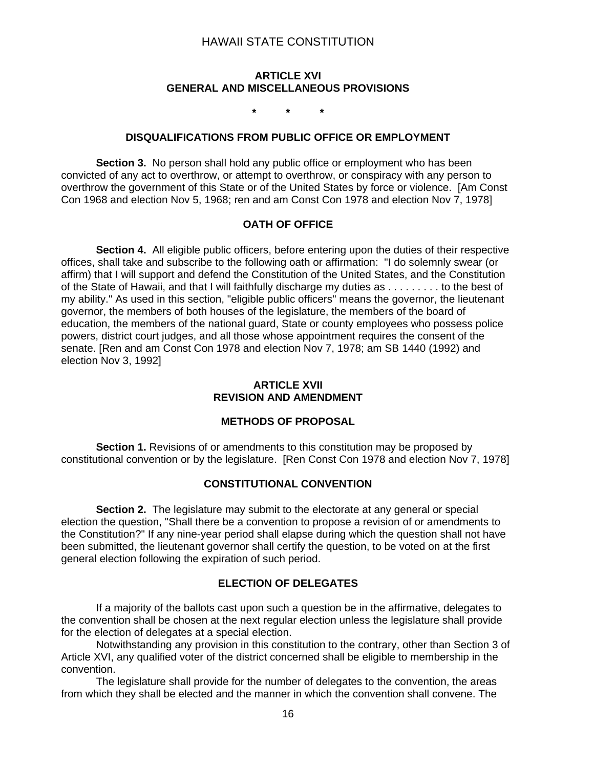### **ARTICLE XVI GENERAL AND MISCELLANEOUS PROVISIONS**

**\* \* \*** 

#### **DISQUALIFICATIONS FROM PUBLIC OFFICE OR EMPLOYMENT**

**Section 3.** No person shall hold any public office or employment who has been convicted of any act to overthrow, or attempt to overthrow, or conspiracy with any person to overthrow the government of this State or of the United States by force or violence. [Am Const Con 1968 and election Nov 5, 1968; ren and am Const Con 1978 and election Nov 7, 1978]

## **OATH OF OFFICE**

**Section 4.** All eligible public officers, before entering upon the duties of their respective offices, shall take and subscribe to the following oath or affirmation: "I do solemnly swear (or affirm) that I will support and defend the Constitution of the United States, and the Constitution of the State of Hawaii, and that I will faithfully discharge my duties as . . . . . . . . . to the best of my ability." As used in this section, "eligible public officers" means the governor, the lieutenant governor, the members of both houses of the legislature, the members of the board of education, the members of the national guard, State or county employees who possess police powers, district court judges, and all those whose appointment requires the consent of the senate. [Ren and am Const Con 1978 and election Nov 7, 1978; am SB 1440 (1992) and election Nov 3, 1992]

### **ARTICLE XVII REVISION AND AMENDMENT**

### **METHODS OF PROPOSAL**

**Section 1.** Revisions of or amendments to this constitution may be proposed by constitutional convention or by the legislature. [Ren Const Con 1978 and election Nov 7, 1978]

### **CONSTITUTIONAL CONVENTION**

**Section 2.** The legislature may submit to the electorate at any general or special election the question, "Shall there be a convention to propose a revision of or amendments to the Constitution?" If any nine-year period shall elapse during which the question shall not have been submitted, the lieutenant governor shall certify the question, to be voted on at the first general election following the expiration of such period.

# **ELECTION OF DELEGATES**

If a majority of the ballots cast upon such a question be in the affirmative, delegates to the convention shall be chosen at the next regular election unless the legislature shall provide for the election of delegates at a special election.

Notwithstanding any provision in this constitution to the contrary, other than Section 3 of Article XVI, any qualified voter of the district concerned shall be eligible to membership in the convention.

The legislature shall provide for the number of delegates to the convention, the areas from which they shall be elected and the manner in which the convention shall convene. The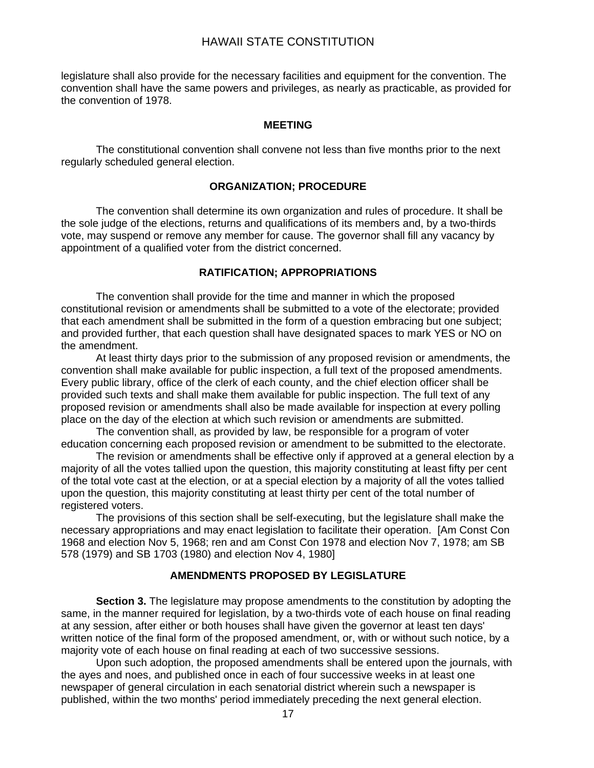legislature shall also provide for the necessary facilities and equipment for the convention. The convention shall have the same powers and privileges, as nearly as practicable, as provided for the convention of 1978.

## **MEETING**

The constitutional convention shall convene not less than five months prior to the next regularly scheduled general election.

#### **ORGANIZATION; PROCEDURE**

The convention shall determine its own organization and rules of procedure. It shall be the sole judge of the elections, returns and qualifications of its members and, by a two-thirds vote, may suspend or remove any member for cause. The governor shall fill any vacancy by appointment of a qualified voter from the district concerned.

#### **RATIFICATION; APPROPRIATIONS**

The convention shall provide for the time and manner in which the proposed constitutional revision or amendments shall be submitted to a vote of the electorate; provided that each amendment shall be submitted in the form of a question embracing but one subject; and provided further, that each question shall have designated spaces to mark YES or NO on the amendment.

At least thirty days prior to the submission of any proposed revision or amendments, the convention shall make available for public inspection, a full text of the proposed amendments. Every public library, office of the clerk of each county, and the chief election officer shall be provided such texts and shall make them available for public inspection. The full text of any proposed revision or amendments shall also be made available for inspection at every polling place on the day of the election at which such revision or amendments are submitted.

 The convention shall, as provided by law, be responsible for a program of voter education concerning each proposed revision or amendment to be submitted to the electorate.

The revision or amendments shall be effective only if approved at a general election by a majority of all the votes tallied upon the question, this majority constituting at least fifty per cent of the total vote cast at the election, or at a special election by a majority of all the votes tallied upon the question, this majority constituting at least thirty per cent of the total number of registered voters.

The provisions of this section shall be self-executing, but the legislature shall make the necessary appropriations and may enact legislation to facilitate their operation. [Am Const Con 1968 and election Nov 5, 1968; ren and am Const Con 1978 and election Nov 7, 1978; am SB 578 (1979) and SB 1703 (1980) and election Nov 4, 1980]

## **AMENDMENTS PROPOSED BY LEGISLATURE**

**Section 3.** The legislature may propose amendments to the constitution by adopting the same, in the manner required for legislation, by a two-thirds vote of each house on final reading at any session, after either or both houses shall have given the governor at least ten days' written notice of the final form of the proposed amendment, or, with or without such notice, by a majority vote of each house on final reading at each of two successive sessions.

Upon such adoption, the proposed amendments shall be entered upon the journals, with the ayes and noes, and published once in each of four successive weeks in at least one newspaper of general circulation in each senatorial district wherein such a newspaper is published, within the two months' period immediately preceding the next general election.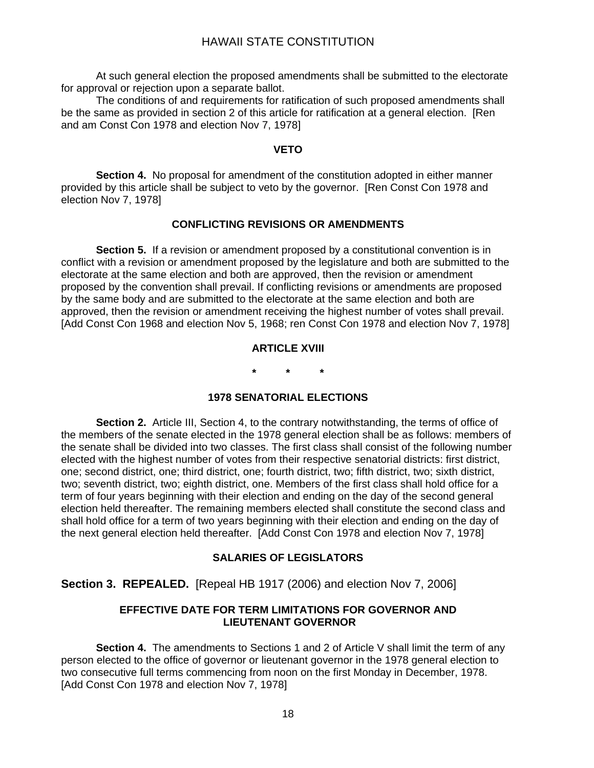At such general election the proposed amendments shall be submitted to the electorate for approval or rejection upon a separate ballot.

The conditions of and requirements for ratification of such proposed amendments shall be the same as provided in section 2 of this article for ratification at a general election. [Ren and am Const Con 1978 and election Nov 7, 1978]

#### **VETO**

**Section 4.** No proposal for amendment of the constitution adopted in either manner provided by this article shall be subject to veto by the governor. [Ren Const Con 1978 and election Nov 7, 1978]

## **CONFLICTING REVISIONS OR AMENDMENTS**

**Section 5.** If a revision or amendment proposed by a constitutional convention is in conflict with a revision or amendment proposed by the legislature and both are submitted to the electorate at the same election and both are approved, then the revision or amendment proposed by the convention shall prevail. If conflicting revisions or amendments are proposed by the same body and are submitted to the electorate at the same election and both are approved, then the revision or amendment receiving the highest number of votes shall prevail. [Add Const Con 1968 and election Nov 5, 1968; ren Const Con 1978 and election Nov 7, 1978]

#### **ARTICLE XVIII**

**\* \* \*** 

#### **1978 SENATORIAL ELECTIONS**

**Section 2.** Article III, Section 4, to the contrary notwithstanding, the terms of office of the members of the senate elected in the 1978 general election shall be as follows: members of the senate shall be divided into two classes. The first class shall consist of the following number elected with the highest number of votes from their respective senatorial districts: first district, one; second district, one; third district, one; fourth district, two; fifth district, two; sixth district, two; seventh district, two; eighth district, one. Members of the first class shall hold office for a term of four years beginning with their election and ending on the day of the second general election held thereafter. The remaining members elected shall constitute the second class and shall hold office for a term of two years beginning with their election and ending on the day of the next general election held thereafter. [Add Const Con 1978 and election Nov 7, 1978]

### **SALARIES OF LEGISLATORS**

**Section 3. REPEALED.** [Repeal HB 1917 (2006) and election Nov 7, 2006]

### **EFFECTIVE DATE FOR TERM LIMITATIONS FOR GOVERNOR AND LIEUTENANT GOVERNOR**

**Section 4.** The amendments to Sections 1 and 2 of Article V shall limit the term of any person elected to the office of governor or lieutenant governor in the 1978 general election to two consecutive full terms commencing from noon on the first Monday in December, 1978. [Add Const Con 1978 and election Nov 7, 1978]